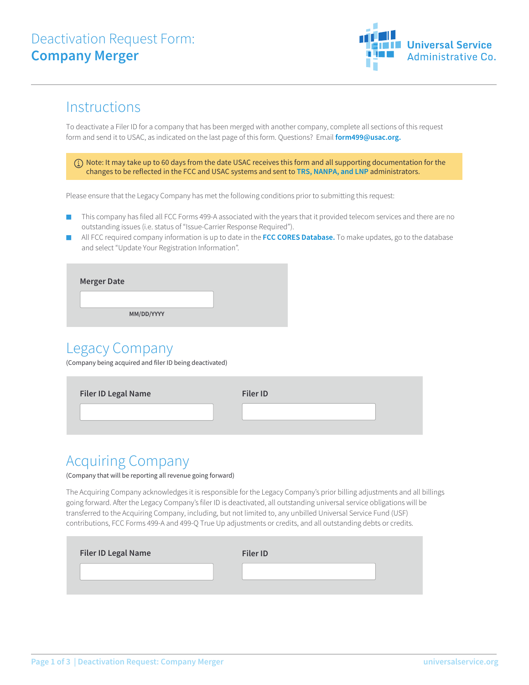## Deactivation Request Form: **Company Merger**



## **Instructions**

To deactivate a Filer ID for a company that has been merged with another company, complete all sections of this request form and send it to USAC, as indicated on the last page of this form. Questions? Email **form499@usac.org.**

 Note: It may take up to 60 days from the date USAC receives this form and all supporting documentation for the changes to be reflected in the FCC and USAC systems and sent to **TRS, NANPA, and LNP** administrators.

Please ensure that the Legacy Company has met the following conditions prior to submitting this request:

- This company has filed all FCC Forms 499-A associated with the years that it provided telecom services and there are no outstanding issues (i.e. status of "Issue-Carrier Response Required").
- All FCC required company information is up to date in the FCC CORES Database. To make updates, go to the database and select "Update Your Registration Information".

| <b>Merger Date</b> |
|--------------------|
|                    |
| MM/DD/YYYY         |
|                    |

### Legacy Company

(Company being acquired and filer ID being deactivated)

| <b>Filer ID Legal Name</b> | <b>Filer ID</b> |  |
|----------------------------|-----------------|--|
|                            |                 |  |
|                            |                 |  |

### Acquiring Company

#### (Company that will be reporting all revenue going forward)

The Acquiring Company acknowledges it is responsible for the Legacy Company's prior billing adjustments and all billings going forward. After the Legacy Company's filer ID is deactivated, all outstanding universal service obligations will be transferred to the Acquiring Company, including, but not limited to, any unbilled Universal Service Fund (USF) contributions, FCC Forms 499-A and 499-Q True Up adjustments or credits, and all outstanding debts or credits.

| <b>Filer ID Legal Name</b> | <b>Filer ID</b> |  |
|----------------------------|-----------------|--|
|                            |                 |  |
|                            |                 |  |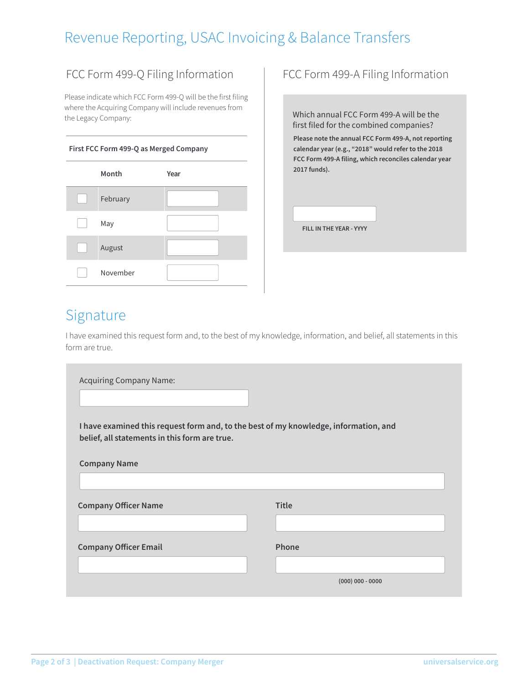# Revenue Reporting, USAC Invoicing & Balance Transfers

#### FCC Form 499-Q Filing Information | FCC Form 499-A Filing Information

Please indicate which FCC Form 499-Q will be the first filing where the Acquiring Company will include revenues from the Legacy Company:

#### **First FCC Form 499-Q as Merged Company**

| Month    | Year |
|----------|------|
| February |      |
| May      |      |
| August   |      |
| November |      |

Which annual FCC Form 499-A will be the first filed for the combined companies?

**Please note the annual FCC Form 499-A, not reporting calendar year (e.g., "2018" would refer to the 2018 FCC Form 499-A filing, which reconciles calendar year 2017 funds).**

**FILL IN THE YEAR - YYYY**

### Signature

I have examined this request form and, to the best of my knowledge, information, and belief, all statements in this form are true.

| <b>Acquiring Company Name:</b>                                                                                                        |                    |  |  |
|---------------------------------------------------------------------------------------------------------------------------------------|--------------------|--|--|
| I have examined this request form and, to the best of my knowledge, information, and<br>belief, all statements in this form are true. |                    |  |  |
| <b>Company Name</b>                                                                                                                   |                    |  |  |
|                                                                                                                                       |                    |  |  |
| <b>Company Officer Name</b>                                                                                                           | <b>Title</b>       |  |  |
|                                                                                                                                       |                    |  |  |
| <b>Company Officer Email</b>                                                                                                          | Phone              |  |  |
|                                                                                                                                       |                    |  |  |
|                                                                                                                                       | $(000)$ 000 - 0000 |  |  |